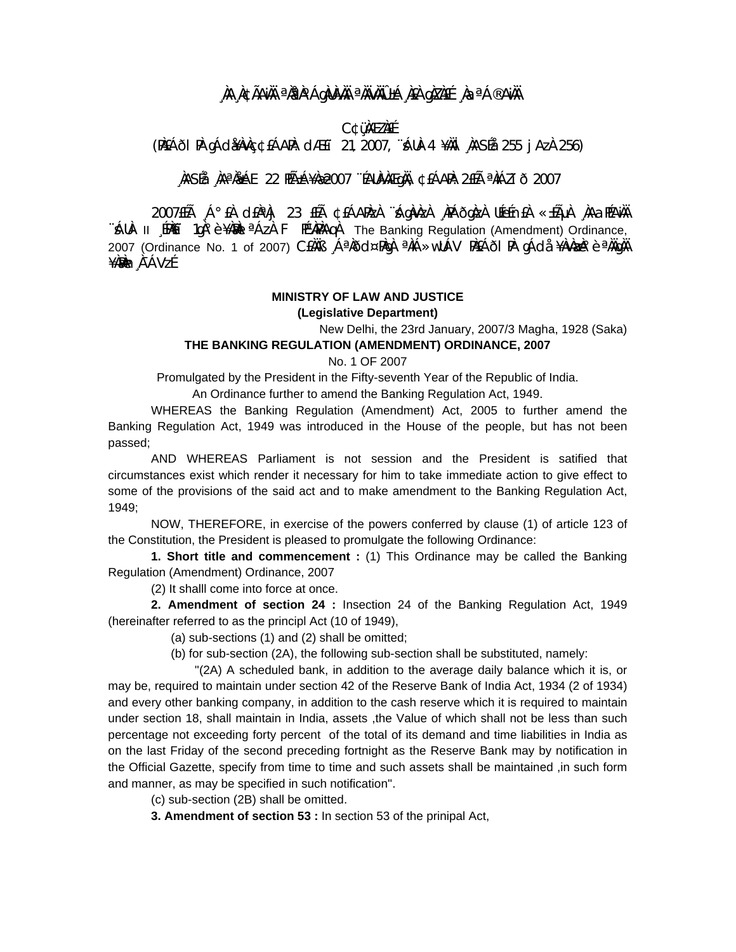## **¸ÀA¸À¢ÃAiÀÄ ªÀåªÀºÁgÀUÀ¼ÀÄ ªÀÄvÀÄÛ ±Á¸À£À gÀZÀ£É ¸ÀaªÁ®AiÀÄ**

#### **C¢ü¸ÀÆZÀ£É**

(PÀ£ÁðlPÀ gÁdå¥ÀvÀç ¢£ÁAPÀ: dÆ£ï 21, 2007, ¨sÁUÀ-4 ¥ÀÄl¸ÀASÉå: 255 jAzÀ 256)

### **¸ÀASÉå: ¸ÀAªÀå±ÁE 22 PÉñÁ¥Àæ 2007 ¨ÉAUÀ¼ÀÆgÀÄ, ¢£ÁAPÀ: 2£Éà ªÀiÁZïð 2007**

2007£Éà ¸Á°£À d£ÀªÀj 23 £Éà ¢£ÁAPÀzÀ ¨sÁgÀvÀzÀ ¸ÀPÁðgÀzÀ UÉeÉn£À «±ÉõÀ ¸ÀAaPÉAiÀÄ  $\hat{A}$ UÀ- II [PÀEI] 1gÀ°è ¥À $\hat{A}$ l<sup>a</sup> AzÀ F PɼAPÀAgÀ The Banking Regulation (Amendment) Ordinance, 2007 (Ordinance No. 1 of 2007) CEAAB , Á<sup>a</sup>hod¤Phqh <sup>a</sup>hiÁ»wUÁV PhEÁðl Ph gÁdå ¥Àvhazh°è <sup>a</sup>hAqhA ¥À₩m¸À¯ÁVzÉ

# **MINISTRY OF LAW AND JUSTICE**

**(Legislative Department)** 

New Delhi, the 23rd January, 2007/3 Magha, 1928 (Saka)

#### **THE BANKING REGULATION (AMENDMENT) ORDINANCE, 2007**

No. 1 OF 2007

Promulgated by the President in the Fifty-seventh Year of the Republic of India.

An Ordinance further to amend the Banking Regulation Act, 1949.

 WHEREAS the Banking Regulation (Amendment) Act, 2005 to further amend the Banking Regulation Act, 1949 was introduced in the House of the people, but has not been passed;

 AND WHEREAS Parliament is not session and the President is satified that circumstances exist which render it necessary for him to take immediate action to give effect to some of the provisions of the said act and to make amendment to the Banking Regulation Act, 1949;

 NOW, THEREFORE, in exercise of the powers conferred by clause (1) of article 123 of the Constitution, the President is pleased to promulgate the following Ordinance:

**1. Short title and commencement :** (1) This Ordinance may be called the Banking Regulation (Amendment) Ordinance, 2007

(2) It shalll come into force at once.

**2. Amendment of section 24 :** Insection 24 of the Banking Regulation Act, 1949 (hereinafter referred to as the principl Act (10 of 1949),

(a) sub-sections (1) and (2) shall be omitted;

(b) for sub-section (2A), the following sub-section shall be substituted, namely:

 ''(2A) A scheduled bank, in addition to the average daily balance which it is, or may be, required to maintain under section 42 of the Reserve Bank of India Act, 1934 (2 of 1934) and every other banking company, in addition to the cash reserve which it is required to maintain under section 18, shall maintain in India, assets ,the Value of which shall not be less than such percentage not exceeding forty percent of the total of its demand and time liabilities in India as on the last Friday of the second preceding fortnight as the Reserve Bank may by notification in the Official Gazette, specify from time to time and such assets shall be maintained ,in such form and manner, as may be specified in such notification''.

(c) sub-section (2B) shall be omitted.

**3. Amendment of section 53 :** In section 53 of the prinipal Act,